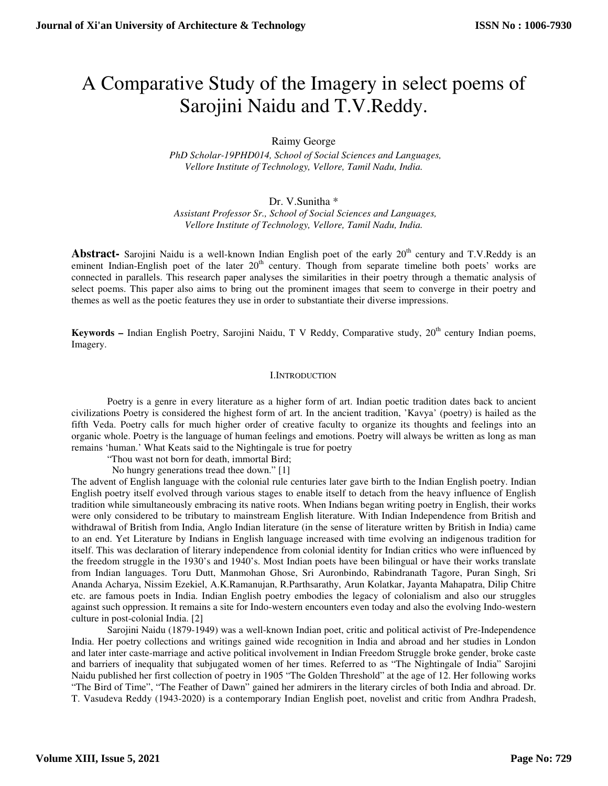# A Comparative Study of the Imagery in select poems of Sarojini Naidu and T.V.Reddy.

Raimy George

 *PhD Scholar-19PHD014, School of Social Sciences and Languages, Vellore Institute of Technology, Vellore, Tamil Nadu, India.* 

Dr. V.Sunitha \*

 *Assistant Professor Sr., School of Social Sciences and Languages, Vellore Institute of Technology, Vellore, Tamil Nadu, India.* 

Abstract- Sarojini Naidu is a well-known Indian English poet of the early 20<sup>th</sup> century and T.V.Reddy is an eminent Indian-English poet of the later  $20<sup>th</sup>$  century. Though from separate timeline both poets' works are connected in parallels. This research paper analyses the similarities in their poetry through a thematic analysis of select poems. This paper also aims to bring out the prominent images that seem to converge in their poetry and themes as well as the poetic features they use in order to substantiate their diverse impressions.

Keywords - Indian English Poetry, Sarojini Naidu, T V Reddy, Comparative study, 20<sup>th</sup> century Indian poems, Imagery.

### I.INTRODUCTION

Poetry is a genre in every literature as a higher form of art. Indian poetic tradition dates back to ancient civilizations Poetry is considered the highest form of art. In the ancient tradition, 'Kavya' (poetry) is hailed as the fifth Veda. Poetry calls for much higher order of creative faculty to organize its thoughts and feelings into an organic whole. Poetry is the language of human feelings and emotions. Poetry will always be written as long as man remains 'human.' What Keats said to the Nightingale is true for poetry

"Thou wast not born for death, immortal Bird;

No hungry generations tread thee down." [1]

The advent of English language with the colonial rule centuries later gave birth to the Indian English poetry. Indian English poetry itself evolved through various stages to enable itself to detach from the heavy influence of English tradition while simultaneously embracing its native roots. When Indians began writing poetry in English, their works were only considered to be tributary to mainstream English literature. With Indian Independence from British and withdrawal of British from India, Anglo Indian literature (in the sense of literature written by British in India) came to an end. Yet Literature by Indians in English language increased with time evolving an indigenous tradition for itself. This was declaration of literary independence from colonial identity for Indian critics who were influenced by the freedom struggle in the 1930's and 1940's. Most Indian poets have been bilingual or have their works translate from Indian languages. Toru Dutt, Manmohan Ghose, Sri Auronbindo, Rabindranath Tagore, Puran Singh, Sri Ananda Acharya, Nissim Ezekiel, A.K.Ramanujan, R.Parthsarathy, Arun Kolatkar, Jayanta Mahapatra, Dilip Chitre etc. are famous poets in India. Indian English poetry embodies the legacy of colonialism and also our struggles against such oppression. It remains a site for Indo-western encounters even today and also the evolving Indo-western culture in post-colonial India. [2]

Sarojini Naidu (1879-1949) was a well-known Indian poet, critic and political activist of Pre-Independence India. Her poetry collections and writings gained wide recognition in India and abroad and her studies in London and later inter caste-marriage and active political involvement in Indian Freedom Struggle broke gender, broke caste and barriers of inequality that subjugated women of her times. Referred to as "The Nightingale of India" Sarojini Naidu published her first collection of poetry in 1905 "The Golden Threshold" at the age of 12. Her following works "The Bird of Time", "The Feather of Dawn" gained her admirers in the literary circles of both India and abroad. Dr. T. Vasudeva Reddy (1943-2020) is a contemporary Indian English poet, novelist and critic from Andhra Pradesh,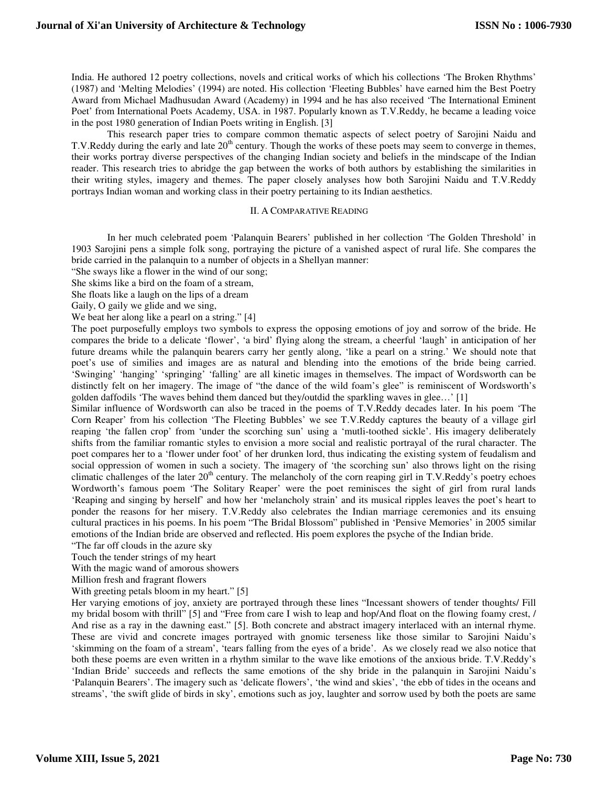India. He authored 12 poetry collections, novels and critical works of which his collections 'The Broken Rhythms' (1987) and 'Melting Melodies' (1994) are noted. His collection 'Fleeting Bubbles' have earned him the Best Poetry Award from Michael Madhusudan Award (Academy) in 1994 and he has also received 'The International Eminent Poet' from International Poets Academy, USA. in 1987. Popularly known as T.V.Reddy, he became a leading voice in the post 1980 generation of Indian Poets writing in English. [3]

This research paper tries to compare common thematic aspects of select poetry of Sarojini Naidu and T.V.Reddy during the early and late  $20<sup>th</sup>$  century. Though the works of these poets may seem to converge in themes, their works portray diverse perspectives of the changing Indian society and beliefs in the mindscape of the Indian reader. This research tries to abridge the gap between the works of both authors by establishing the similarities in their writing styles, imagery and themes. The paper closely analyses how both Sarojini Naidu and T.V.Reddy portrays Indian woman and working class in their poetry pertaining to its Indian aesthetics.

#### II. A COMPARATIVE READING

In her much celebrated poem 'Palanquin Bearers' published in her collection 'The Golden Threshold' in 1903 Sarojini pens a simple folk song, portraying the picture of a vanished aspect of rural life. She compares the bride carried in the palanquin to a number of objects in a Shellyan manner:

"She sways like a flower in the wind of our song;

She skims like a bird on the foam of a stream,

She floats like a laugh on the lips of a dream

Gaily, O gaily we glide and we sing,

We beat her along like a pearl on a string." [4]

The poet purposefully employs two symbols to express the opposing emotions of joy and sorrow of the bride. He compares the bride to a delicate 'flower', 'a bird' flying along the stream, a cheerful 'laugh' in anticipation of her future dreams while the palanquin bearers carry her gently along, 'like a pearl on a string.' We should note that poet's use of similies and images are as natural and blending into the emotions of the bride being carried. 'Swinging' 'hanging' 'springing' 'falling' are all kinetic images in themselves. The impact of Wordsworth can be distinctly felt on her imagery. The image of "the dance of the wild foam's glee" is reminiscent of Wordsworth's golden daffodils 'The waves behind them danced but they/outdid the sparkling waves in glee…' [1]

Similar influence of Wordsworth can also be traced in the poems of T.V.Reddy decades later. In his poem 'The Corn Reaper' from his collection 'The Fleeting Bubbles' we see T.V.Reddy captures the beauty of a village girl reaping 'the fallen crop' from 'under the scorching sun' using a 'mutli-toothed sickle'. His imagery deliberately shifts from the familiar romantic styles to envision a more social and realistic portrayal of the rural character. The poet compares her to a 'flower under foot' of her drunken lord, thus indicating the existing system of feudalism and social oppression of women in such a society. The imagery of 'the scorching sun' also throws light on the rising climatic challenges of the later  $20<sup>th</sup>$  century. The melancholy of the corn reaping girl in T.V.Reddy's poetry echoes Wordworth's famous poem 'The Solitary Reaper' were the poet reminisces the sight of girl from rural lands 'Reaping and singing by herself' and how her 'melancholy strain' and its musical ripples leaves the poet's heart to ponder the reasons for her misery. T.V.Reddy also celebrates the Indian marriage ceremonies and its ensuing cultural practices in his poems. In his poem "The Bridal Blossom" published in 'Pensive Memories' in 2005 similar emotions of the Indian bride are observed and reflected. His poem explores the psyche of the Indian bride.

"The far off clouds in the azure sky

Touch the tender strings of my heart

With the magic wand of amorous showers

Million fresh and fragrant flowers

With greeting petals bloom in my heart." [5]

Her varying emotions of joy, anxiety are portrayed through these lines "Incessant showers of tender thoughts/ Fill my bridal bosom with thrill" [5] and "Free from care I wish to leap and hop/And float on the flowing foamy crest, / And rise as a ray in the dawning east." [5]. Both concrete and abstract imagery interlaced with an internal rhyme. These are vivid and concrete images portrayed with gnomic terseness like those similar to Sarojini Naidu's 'skimming on the foam of a stream', 'tears falling from the eyes of a bride'. As we closely read we also notice that both these poems are even written in a rhythm similar to the wave like emotions of the anxious bride. T.V.Reddy's 'Indian Bride' succeeds and reflects the same emotions of the shy bride in the palanquin in Sarojini Naidu's 'Palanquin Bearers'. The imagery such as 'delicate flowers', 'the wind and skies', 'the ebb of tides in the oceans and streams', 'the swift glide of birds in sky', emotions such as joy, laughter and sorrow used by both the poets are same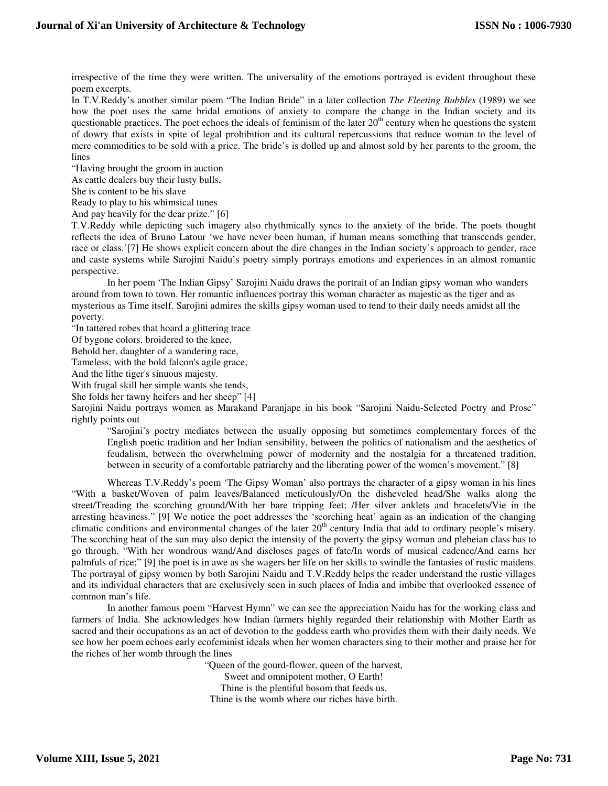irrespective of the time they were written. The universality of the emotions portrayed is evident throughout these poem excerpts.

In T.V.Reddy's another similar poem "The Indian Bride" in a later collection *The Fleeting Bubbles* (1989) we see how the poet uses the same bridal emotions of anxiety to compare the change in the Indian society and its questionable practices. The poet echoes the ideals of feminism of the later  $20<sup>th</sup>$  century when he questions the system of dowry that exists in spite of legal prohibition and its cultural repercussions that reduce woman to the level of mere commodities to be sold with a price. The bride's is dolled up and almost sold by her parents to the groom, the lines

"Having brought the groom in auction

As cattle dealers buy their lusty bulls,

She is content to be his slave

Ready to play to his whimsical tunes

And pay heavily for the dear prize." [6]

T.V.Reddy while depicting such imagery also rhythmically syncs to the anxiety of the bride. The poets thought reflects the idea of Bruno Latour 'we have never been human, if human means something that transcends gender, race or class.'[7] He shows explicit concern about the dire changes in the Indian society's approach to gender, race and caste systems while Sarojini Naidu's poetry simply portrays emotions and experiences in an almost romantic perspective.

In her poem 'The Indian Gipsy' Sarojini Naidu draws the portrait of an Indian gipsy woman who wanders around from town to town. Her romantic influences portray this woman character as majestic as the tiger and as mysterious as Time itself. Sarojini admires the skills gipsy woman used to tend to their daily needs amidst all the poverty.

"In tattered robes that hoard a glittering trace

Of bygone colors, broidered to the knee,

Behold her, daughter of a wandering race,

Tameless, with the bold falcon's agile grace,

And the lithe tiger's sinuous majesty.

With frugal skill her simple wants she tends,

She folds her tawny heifers and her sheep" [4]

Sarojini Naidu portrays women as Marakand Paranjape in his book "Sarojini Naidu-Selected Poetry and Prose" rightly points out

"Sarojini's poetry mediates between the usually opposing but sometimes complementary forces of the English poetic tradition and her Indian sensibility, between the politics of nationalism and the aesthetics of feudalism, between the overwhelming power of modernity and the nostalgia for a threatened tradition, between in security of a comfortable patriarchy and the liberating power of the women's movement." [8]

Whereas T.V.Reddy's poem 'The Gipsy Woman' also portrays the character of a gipsy woman in his lines "With a basket/Woven of palm leaves/Balanced meticulously/On the disheveled head/She walks along the street/Treading the scorching ground/With her bare tripping feet; /Her silver anklets and bracelets/Vie in the arresting heaviness." [9] We notice the poet addresses the 'scorching heat' again as an indication of the changing climatic conditions and environmental changes of the later  $20<sup>th</sup>$  century India that add to ordinary people's misery. The scorching heat of the sun may also depict the intensity of the poverty the gipsy woman and plebeian class has to go through. "With her wondrous wand/And discloses pages of fate/In words of musical cadence/And earns her palmfuls of rice;" [9] the poet is in awe as she wagers her life on her skills to swindle the fantasies of rustic maidens. The portrayal of gipsy women by both Sarojini Naidu and T.V.Reddy helps the reader understand the rustic villages and its individual characters that are exclusively seen in such places of India and imbibe that overlooked essence of common man's life.

In another famous poem "Harvest Hymn" we can see the appreciation Naidu has for the working class and farmers of India. She acknowledges how Indian farmers highly regarded their relationship with Mother Earth as sacred and their occupations as an act of devotion to the goddess earth who provides them with their daily needs. We see how her poem echoes early ecofeminist ideals when her women characters sing to their mother and praise her for the riches of her womb through the lines

"Queen of the gourd-flower, queen of the harvest,

Sweet and omnipotent mother, O Earth!

Thine is the plentiful bosom that feeds us,

Thine is the womb where our riches have birth.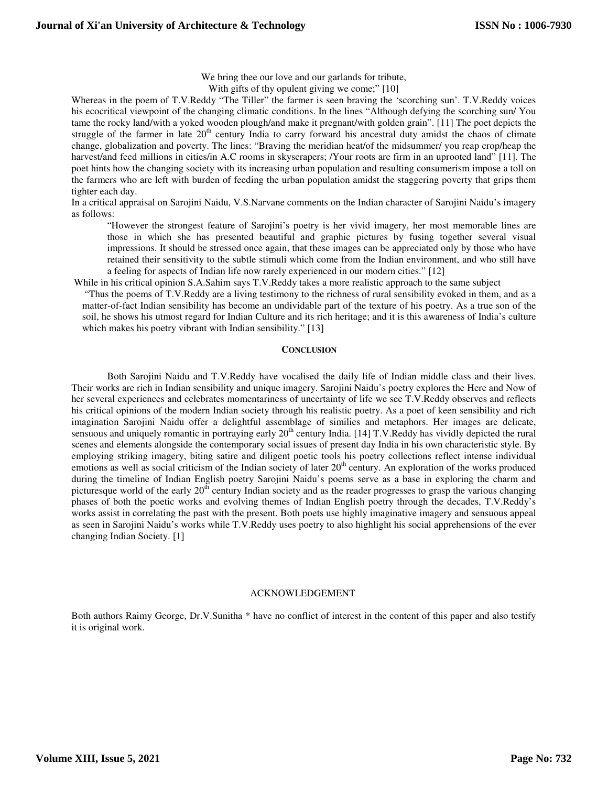We bring thee our love and our garlands for tribute,

With gifts of thy opulent giving we come;" [10]

Whereas in the poem of T.V.Reddy "The Tiller" the farmer is seen braving the 'scorching sun'. T.V.Reddy voices his ecocritical viewpoint of the changing climatic conditions. In the lines "Although defying the scorching sun/ You tame the rocky land/with a yoked wooden plough/and make it pregnant/with golden grain". [11] The poet depicts the struggle of the farmer in late  $20<sup>th</sup>$  century India to carry forward his ancestral duty amidst the chaos of climate change, globalization and poverty. The lines: "Braving the meridian heat/of the midsummer/ you reap crop/heap the harvest/and feed millions in cities/in A.C rooms in skyscrapers; /Your roots are firm in an uprooted land" [11]. The poet hints how the changing society with its increasing urban population and resulting consumerism impose a toll on the farmers who are left with burden of feeding the urban population amidst the staggering poverty that grips them tighter each day.

In a critical appraisal on Sarojini Naidu, V.S.Narvane comments on the Indian character of Sarojini Naidu's imagery as follows:

"However the strongest feature of Sarojini's poetry is her vivid imagery, her most memorable lines are those in which she has presented beautiful and graphic pictures by fusing together several visual impressions. It should be stressed once again, that these images can be appreciated only by those who have retained their sensitivity to the subtle stimuli which come from the Indian environment, and who still have a feeling for aspects of Indian life now rarely experienced in our modern cities." [12]

While in his critical opinion S.A.Sahim says T.V.Reddy takes a more realistic approach to the same subject

 "Thus the poems of T.V.Reddy are a living testimony to the richness of rural sensibility evoked in them, and as a matter-of-fact Indian sensibility has become an undividable part of the texture of his poetry. As a true son of the soil, he shows his utmost regard for Indian Culture and its rich heritage; and it is this awareness of India's culture which makes his poetry vibrant with Indian sensibility." [13]

### **CONCLUSION**

Both Sarojini Naidu and T.V.Reddy have vocalised the daily life of Indian middle class and their lives. Their works are rich in Indian sensibility and unique imagery. Sarojini Naidu's poetry explores the Here and Now of her several experiences and celebrates momentariness of uncertainty of life we see T.V.Reddy observes and reflects his critical opinions of the modern Indian society through his realistic poetry. As a poet of keen sensibility and rich imagination Sarojini Naidu offer a delightful assemblage of similies and metaphors. Her images are delicate, sensuous and uniquely romantic in portraying early 20<sup>th</sup> century India. [14] T.V.Reddy has vividly depicted the rural scenes and elements alongside the contemporary social issues of present day India in his own characteristic style. By employing striking imagery, biting satire and diligent poetic tools his poetry collections reflect intense individual emotions as well as social criticism of the Indian society of later  $20<sup>th</sup>$  century. An exploration of the works produced during the timeline of Indian English poetry Sarojini Naidu's poems serve as a base in exploring the charm and picturesque world of the early  $20<sup>th</sup>$  century Indian society and as the reader progresses to grasp the various changing phases of both the poetic works and evolving themes of Indian English poetry through the decades, T.V.Reddy's works assist in correlating the past with the present. Both poets use highly imaginative imagery and sensuous appeal as seen in Sarojini Naidu's works while T.V.Reddy uses poetry to also highlight his social apprehensions of the ever changing Indian Society. [1]

### ACKNOWLEDGEMENT

Both authors Raimy George, Dr.V.Sunitha \* have no conflict of interest in the content of this paper and also testify it is original work.